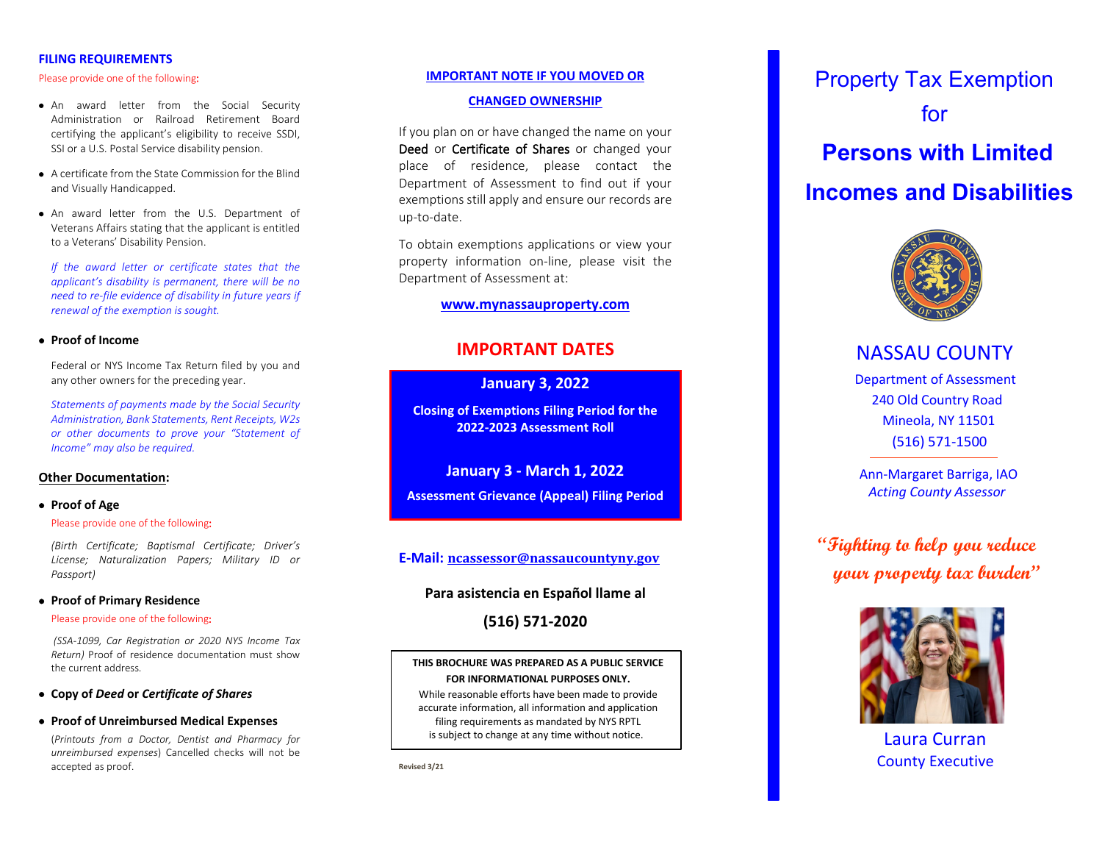### **FILING REQUIREMENTS**

#### Please provide one of the following:

- An award letter from the Social Security Administration or Railroad Retirement Board certifying the applicant's eligibility to receive SSDI, SSI or a U.S. Postal Service disability pension.
- A certificate from the State Commission for the Blind and Visually Handicapped.
- An award letter from the U.S. Department of Veterans Affairs stating that the applicant is entitled to a Veterans' Disability Pension.

*If the award letter or certificate states that the applicant's disability is permanent, there will be no need to re -file evidence of disability in future years if renewal of the exemption is sought.*

#### • **Proof of Income**

Federal or NYS Income Tax Return filed by you and any other owners for the preceding year.

*Statements of payments made by the Social Security Administration, Bank Statements, Rent Receipts, W2s or other documents to prove your "Statement of Income" may also be required.* 

#### **Other Documentation :**

#### • **Proof of Age**

#### Please provide one of the following:

*(Birth Certificate; Baptismal Certificate; Driver's License; Naturalization Papers; Military ID or Passport)*

#### **• Proof of Primary Residence**

#### :

*(SSA -1099, Car Registration or 2020 NYS Income Tax Return)* P roof of residence documentation must show the current address *.*

## • **Copy of** *Deed* **or** *Certificate of Shares*

• **Proof of Unreimbursed Medical Expenses**

(*Printouts from a Doctor, Dentist and Pharmacy for unreimbursed expenses*) Cancelled checks will not be accepted as proof.

#### **IMPORTANT NOTE IF YOU MOVED OR**

#### **CHANGED OWNERSHIP**

If you plan on or have changed the name on your Deed or Certificate of Shares or changed your place of residence, please contact the Department of Assessment to find out if you r exemptions still apply and ensure our records are up -to -date.

To obtain exemptions applications or view your property information on -line, please visit the Department of Assessment at:

## **[www.mynassauproperty.com](http://www.mynassauproperty.com/)**

# **IMPORTANT DATES**

**January 3, 202 2**

**Closing of Exemptions Filing Period for the 202 2 -202 3 Assessment Roll**

**January 3 - March 1, 202 2 Assessment Grievance (Appeal) Filing Period**

## **E -Mail: [ncassessor@nassaucountyny.gov](mailto:ncassessor@nassaucountyny.gov)**

## **Para asistencia en Español llame al**

**(516) 571 -2020**

## **THIS BROCHURE WAS PREPARED AS A PUBLIC SERVICE FOR INFORMATIONAL PURPOSES ONLY.**

While reasonable efforts have been made to provide accurate information, all information and application filing requirements as mandated by NYS RPTL is subject to change at any time without notice.

**Revised 3/2 1**

 Property Tax Exemption for  **Persons with Limited Incomes and Disabilities**



# NASSAU COUNTY

 Department of Assessment 240 Old Country Road Mineola, NY 11501 (516) 571 -1500

 Ann -Margaret Barriga, IAO  *Acting County Assessor*

 **"Fighting to help you reduce your property tax burden"**



 Laura Curran County Executive